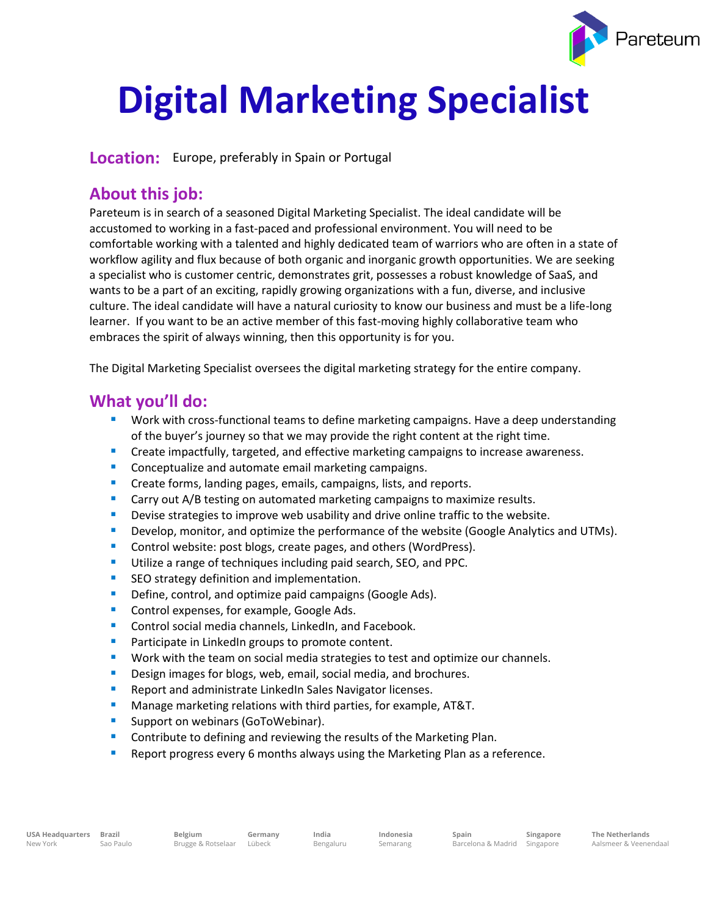

# **Digital Marketing Specialist**

**Location:** Europe, preferably in Spain or Portugal

## **About this job:**

Pareteum is in search of a seasoned Digital Marketing Specialist. The ideal candidate will be accustomed to working in a fast-paced and professional environment. You will need to be comfortable working with a talented and highly dedicated team of warriors who are often in a state of workflow agility and flux because of both organic and inorganic growth opportunities. We are seeking a specialist who is customer centric, demonstrates grit, possesses a robust knowledge of SaaS, and wants to be a part of an exciting, rapidly growing organizations with a fun, diverse, and inclusive culture. The ideal candidate will have a natural curiosity to know our business and must be a life-long learner. If you want to be an active member of this fast-moving highly collaborative team who embraces the spirit of always winning, then this opportunity is for you.

The Digital Marketing Specialist oversees the digital marketing strategy for the entire company.

## **What you'll do:**

- Work with cross-functional teams to define marketing campaigns. Have a deep understanding of the buyer's journey so that we may provide the right content at the right time.
- **E** Create impactfully, targeted, and effective marketing campaigns to increase awareness.
- Conceptualize and automate email marketing campaigns.
- Create forms, landing pages, emails, campaigns, lists, and reports.
- **E** Carry out A/B testing on automated marketing campaigns to maximize results.
- **•** Devise strategies to improve web usability and drive online traffic to the website.
- **•** Develop, monitor, and optimize the performance of the website (Google Analytics and UTMs).
- Control website: post blogs, create pages, and others (WordPress).
- **Utilize a range of techniques including paid search, SEO, and PPC.**
- SEO strategy definition and implementation.
- Define, control, and optimize paid campaigns (Google Ads).
- Control expenses, for example, Google Ads.
- Control social media channels, LinkedIn, and Facebook.
- Participate in LinkedIn groups to promote content.
- Work with the team on social media strategies to test and optimize our channels.
- Design images for blogs, web, email, social media, and brochures.
- Report and administrate LinkedIn Sales Navigator licenses.
- Manage marketing relations with third parties, for example, AT&T.
- **E** Support on webinars (GoToWebinar).
- Contribute to defining and reviewing the results of the Marketing Plan.
- **EXE** Report progress every 6 months always using the Marketing Plan as a reference.